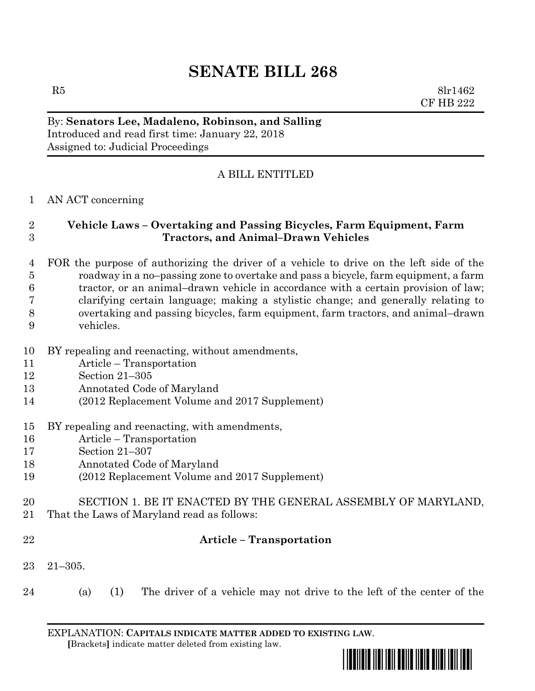# **SENATE BILL 268**

 $R5$  8lr1462 CF HB 222

## By: **Senators Lee, Madaleno, Robinson, and Salling** Introduced and read first time: January 22, 2018 Assigned to: Judicial Proceedings

# A BILL ENTITLED

#### AN ACT concerning

### **Vehicle Laws – Overtaking and Passing Bicycles, Farm Equipment, Farm Tractors, and Animal–Drawn Vehicles**

#### FOR the purpose of authorizing the driver of a vehicle to drive on the left side of the roadway in a no–passing zone to overtake and pass a bicycle, farm equipment, a farm tractor, or an animal–drawn vehicle in accordance with a certain provision of law; clarifying certain language; making a stylistic change; and generally relating to overtaking and passing bicycles, farm equipment, farm tractors, and animal–drawn vehicles.

- BY repealing and reenacting, without amendments,
- Article Transportation
- Section 21–305
- Annotated Code of Maryland
- (2012 Replacement Volume and 2017 Supplement)
- BY repealing and reenacting, with amendments,
- Article Transportation
- Section 21–307
- Annotated Code of Maryland
- (2012 Replacement Volume and 2017 Supplement)
- SECTION 1. BE IT ENACTED BY THE GENERAL ASSEMBLY OF MARYLAND,
- That the Laws of Maryland read as follows:
- 

#### **Article – Transportation**

- 21–305.
- (a) (1) The driver of a vehicle may not drive to the left of the center of the

EXPLANATION: **CAPITALS INDICATE MATTER ADDED TO EXISTING LAW**.  **[**Brackets**]** indicate matter deleted from existing law.

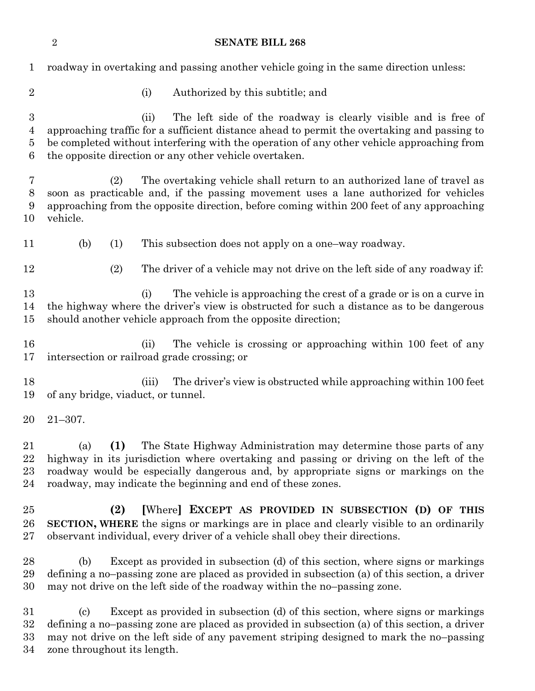|                                 | $\overline{2}$<br><b>SENATE BILL 268</b>                                                                                                                                                                                                                                                                                       |
|---------------------------------|--------------------------------------------------------------------------------------------------------------------------------------------------------------------------------------------------------------------------------------------------------------------------------------------------------------------------------|
| $\mathbf 1$                     | roadway in overtaking and passing another vehicle going in the same direction unless:                                                                                                                                                                                                                                          |
| $\overline{2}$                  | (i)<br>Authorized by this subtitle; and                                                                                                                                                                                                                                                                                        |
| $\boldsymbol{3}$<br>4<br>5<br>6 | The left side of the roadway is clearly visible and is free of<br>(ii)<br>approaching traffic for a sufficient distance ahead to permit the overtaking and passing to<br>be completed without interfering with the operation of any other vehicle approaching from<br>the opposite direction or any other vehicle overtaken.   |
| 7<br>8<br>9<br>10               | The overtaking vehicle shall return to an authorized lane of travel as<br>(2)<br>soon as practicable and, if the passing movement uses a lane authorized for vehicles<br>approaching from the opposite direction, before coming within 200 feet of any approaching<br>vehicle.                                                 |
| 11                              | This subsection does not apply on a one-way roadway.<br>(b)<br>(1)                                                                                                                                                                                                                                                             |
| 12                              | (2)<br>The driver of a vehicle may not drive on the left side of any roadway if:                                                                                                                                                                                                                                               |
| 13<br>14<br>15                  | The vehicle is approaching the crest of a grade or is on a curve in<br>(i)<br>the highway where the driver's view is obstructed for such a distance as to be dangerous<br>should another vehicle approach from the opposite direction;                                                                                         |
| 16<br>17                        | The vehicle is crossing or approaching within 100 feet of any<br>(ii)<br>intersection or railroad grade crossing; or                                                                                                                                                                                                           |
| 18<br>19                        | (iii)<br>The driver's view is obstructed while approaching within 100 feet<br>of any bridge, viaduct, or tunnel.                                                                                                                                                                                                               |
| 20                              | $21 - 307.$                                                                                                                                                                                                                                                                                                                    |
| 21<br>22<br>$23\,$<br>24        | The State Highway Administration may determine those parts of any<br>(a)<br>(1)<br>highway in its jurisdiction where overtaking and passing or driving on the left of the<br>roadway would be especially dangerous and, by appropriate signs or markings on the<br>roadway, may indicate the beginning and end of these zones. |
| 25<br>26<br>$27\,$              | [Where] EXCEPT AS PROVIDED IN SUBSECTION (D) OF THIS<br>(2)<br><b>SECTION, WHERE</b> the signs or markings are in place and clearly visible to an ordinarily<br>observant individual, every driver of a vehicle shall obey their directions.                                                                                   |
| 28<br>29<br>30                  | Except as provided in subsection (d) of this section, where signs or markings<br>(b)<br>defining a no-passing zone are placed as provided in subsection (a) of this section, a driver<br>may not drive on the left side of the roadway within the no-passing zone.                                                             |
| 31                              | Except as provided in subsection (d) of this section, where signs or markings<br>$\left( \mathrm{c}\right)$                                                                                                                                                                                                                    |

 defining a no–passing zone are placed as provided in subsection (a) of this section, a driver may not drive on the left side of any pavement striping designed to mark the no–passing zone throughout its length.